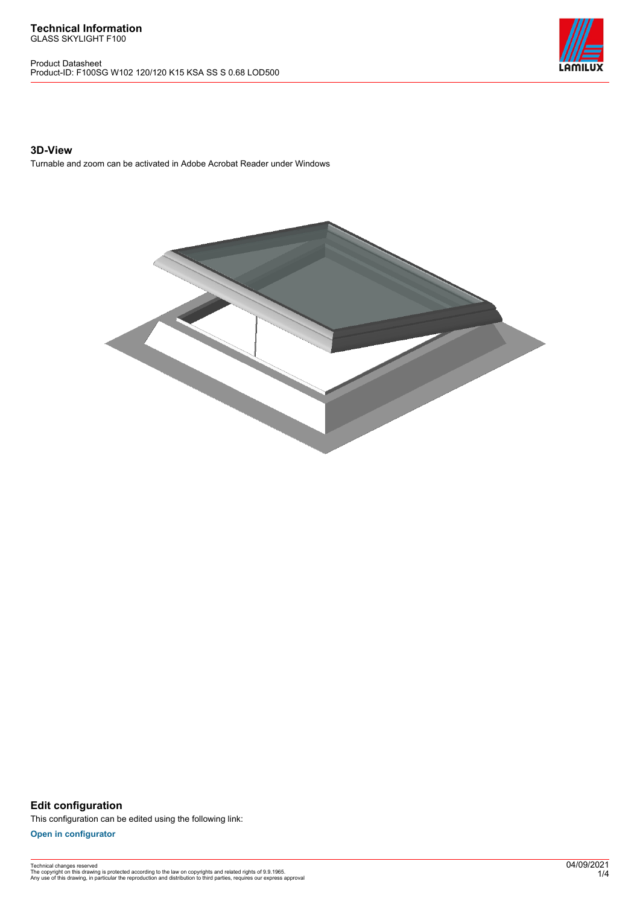Product Datasheet Product-ID: F100SG W102 120/120 K15 KSA SS S 0.68 LOD500



### **3D-View**

Turnable and zoom can be activated in Adobe Acrobat Reader under Windows



**Edit configuration** This configuration can be edited using the following link:

**[Open in configurator](https://bimconfig.lamilux.com//?quickcode=NADGGL)**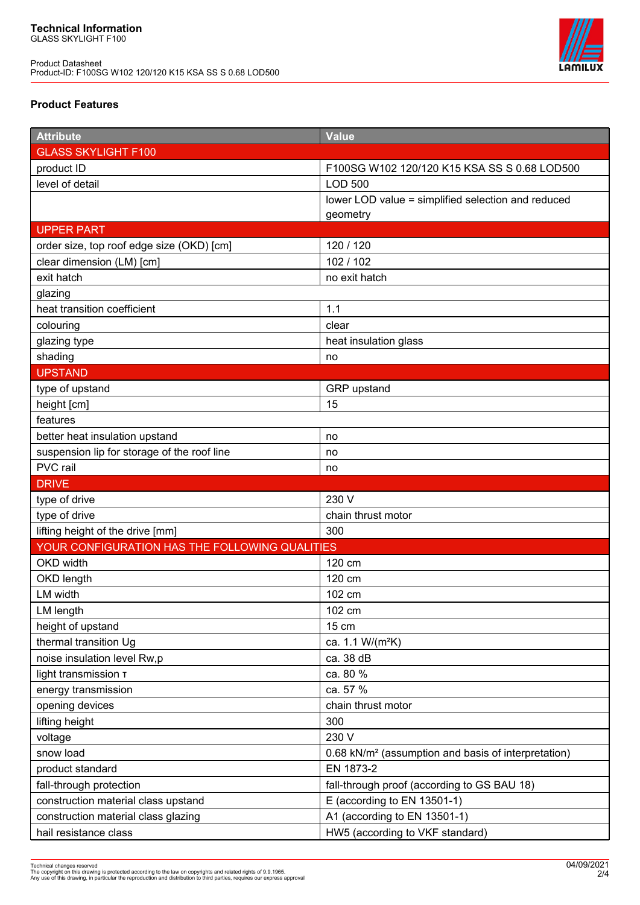Product Datasheet Product-ID: F100SG W102 120/120 K15 KSA SS S 0.68 LOD500



# **Product Features**

| <b>Attribute</b>                               | Value                                                           |
|------------------------------------------------|-----------------------------------------------------------------|
| <b>GLASS SKYLIGHT F100</b>                     |                                                                 |
| product ID                                     | F100SG W102 120/120 K15 KSA SS S 0.68 LOD500                    |
| level of detail                                | <b>LOD 500</b>                                                  |
|                                                | lower LOD value = simplified selection and reduced              |
|                                                | geometry                                                        |
| <b>UPPER PART</b>                              |                                                                 |
| order size, top roof edge size (OKD) [cm]      | 120 / 120                                                       |
| clear dimension (LM) [cm]                      | 102 / 102                                                       |
| exit hatch                                     | no exit hatch                                                   |
| glazing                                        |                                                                 |
| heat transition coefficient                    | 1.1                                                             |
| colouring                                      | clear                                                           |
| glazing type                                   | heat insulation glass                                           |
| shading                                        | no                                                              |
| <b>UPSTAND</b>                                 |                                                                 |
| type of upstand                                | GRP upstand                                                     |
| height [cm]                                    | 15                                                              |
| features                                       |                                                                 |
| better heat insulation upstand                 | no                                                              |
| suspension lip for storage of the roof line    | no                                                              |
| PVC rail                                       | no                                                              |
| <b>DRIVE</b>                                   |                                                                 |
|                                                |                                                                 |
| type of drive                                  | 230 V                                                           |
| type of drive                                  | chain thrust motor                                              |
| lifting height of the drive [mm]               | 300                                                             |
| YOUR CONFIGURATION HAS THE FOLLOWING QUALITIES |                                                                 |
| OKD width                                      | 120 cm                                                          |
| OKD length                                     | 120 cm                                                          |
| LM width                                       | 102 cm                                                          |
| LM length                                      | 102 cm                                                          |
| height of upstand                              | 15 cm                                                           |
| thermal transition Ug                          | ca. 1.1 W/(m <sup>2</sup> K)                                    |
| noise insulation level Rw,p                    | ca. 38 dB                                                       |
| light transmission T                           | ca. 80 %                                                        |
| energy transmission                            | ca. 57 %                                                        |
| opening devices                                | chain thrust motor                                              |
| lifting height                                 | 300                                                             |
| voltage                                        | 230 V                                                           |
| snow load                                      | 0.68 kN/m <sup>2</sup> (assumption and basis of interpretation) |
| product standard                               | EN 1873-2                                                       |
| fall-through protection                        | fall-through proof (according to GS BAU 18)                     |
| construction material class upstand            | E (according to EN 13501-1)                                     |
| construction material class glazing            | A1 (according to EN 13501-1)                                    |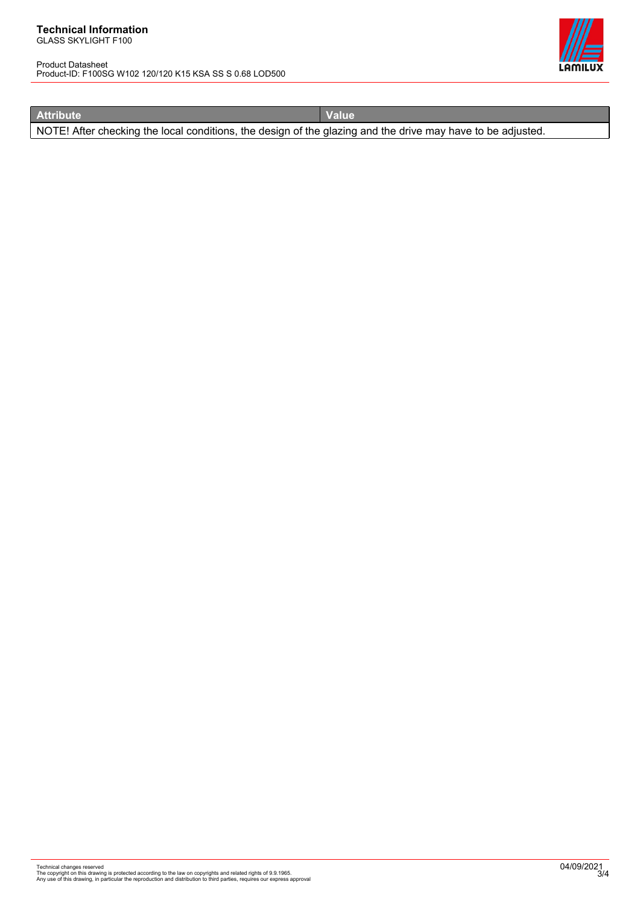#### **Technical Information** GLASS SKYLIGHT F100

Product Datasheet Product-ID: F100SG W102 120/120 K15 KSA SS S 0.68 LOD500



**Attribute Value**

NOTE! After checking the local conditions, the design of the glazing and the drive may have to be adjusted.